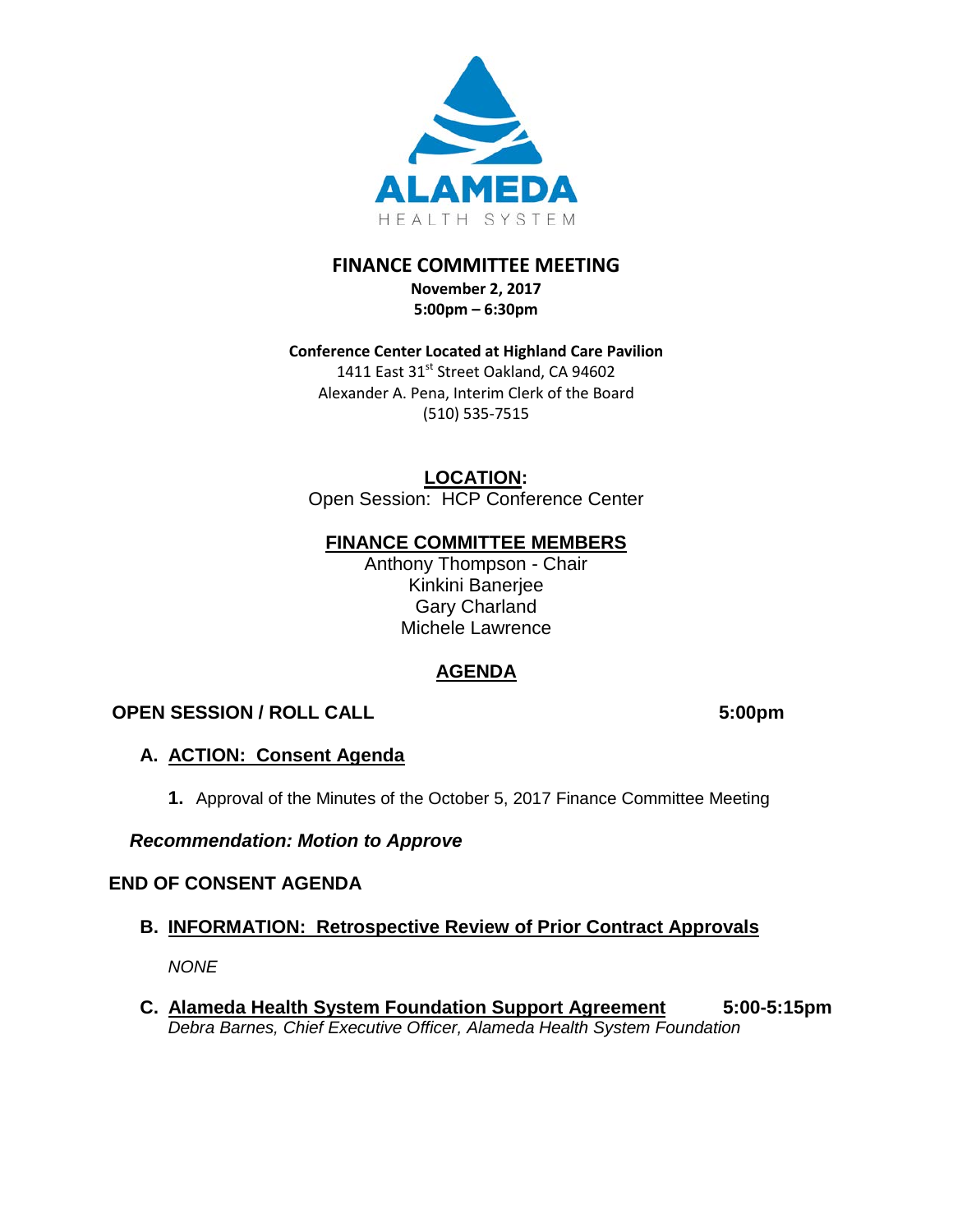

# **FINANCE COMMITTEE MEETING**

**November 2, 2017 5:00pm – 6:30pm** 

**Conference Center Located at Highland Care Pavilion** 1411 East 31<sup>st</sup> Street Oakland, CA 94602 Alexander A. Pena, Interim Clerk of the Board (510) 535-7515

**LOCATION:**

Open Session: HCP Conference Center

# **FINANCE COMMITTEE MEMBERS**

Anthony Thompson - Chair Kinkini Banerjee Gary Charland Michele Lawrence

# **AGENDA**

# **OPEN SESSION / ROLL CALL 5:00pm**

# **A. ACTION: Consent Agenda**

**1.** Approval of the Minutes of the October 5, 2017 Finance Committee Meeting

# *Recommendation: Motion to Approve*

# **END OF CONSENT AGENDA**

# **B. INFORMATION: Retrospective Review of Prior Contract Approvals**

*NONE* 

**C. Alameda Health System Foundation Support Agreement 5:00-5:15pm** *Debra Barnes, Chief Executive Officer, Alameda Health System Foundation*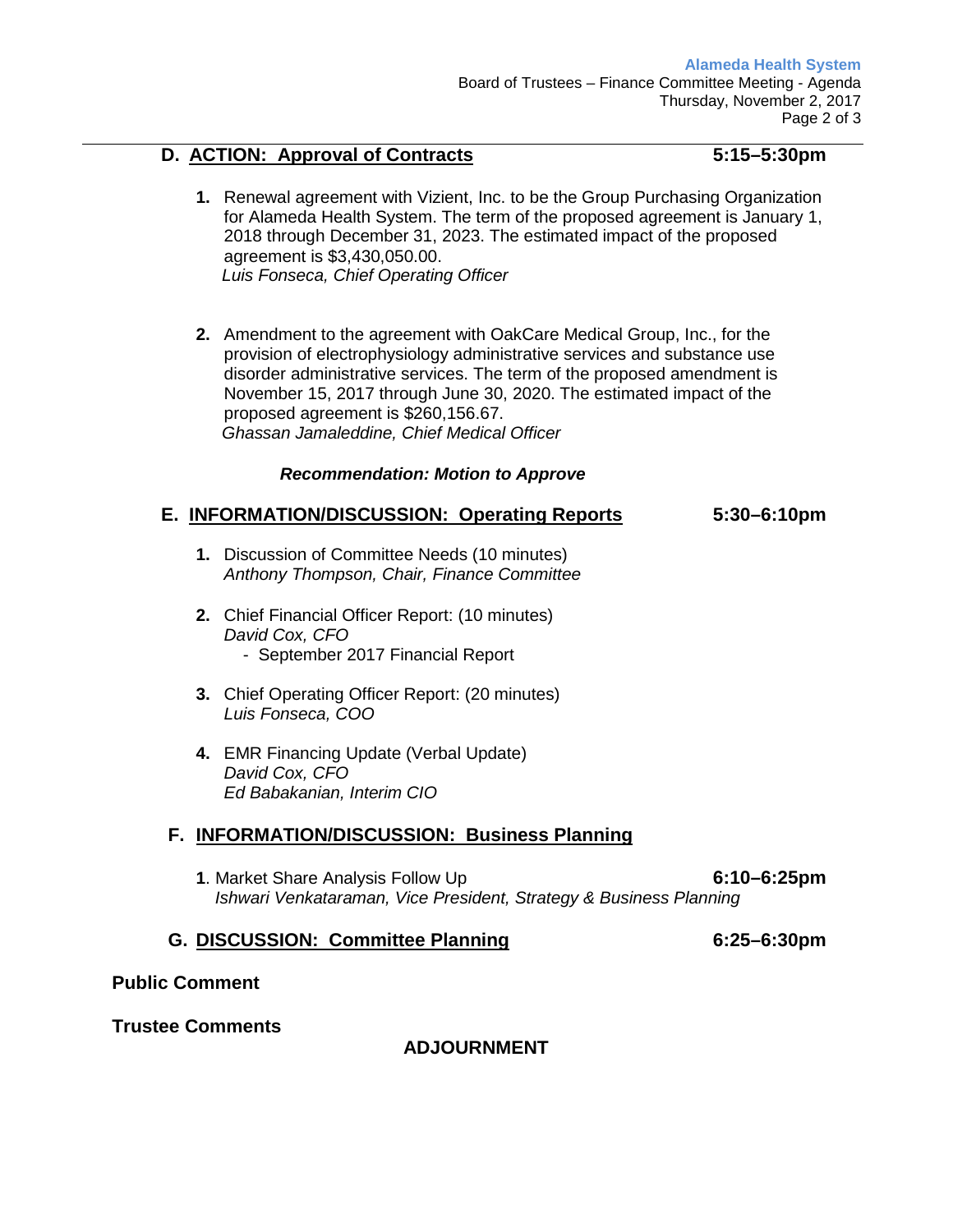## **D. ACTION: Approval of Contracts 5:15–5:30pm**

- **1.** Renewal agreement with Vizient, Inc. to be the Group Purchasing Organization for Alameda Health System. The term of the proposed agreement is January 1, 2018 through December 31, 2023. The estimated impact of the proposed agreement is \$3,430,050.00. *Luis Fonseca, Chief Operating Officer*
- **2.** Amendment to the agreement with OakCare Medical Group, Inc., for the provision of electrophysiology administrative services and substance use disorder administrative services. The term of the proposed amendment is November 15, 2017 through June 30, 2020. The estimated impact of the proposed agreement is \$260,156.67. *Ghassan Jamaleddine, Chief Medical Officer*

## *Recommendation: Motion to Approve*

## **E. INFORMATION/DISCUSSION: Operating Reports 5:30–6:10pm**

- 
- **1.** Discussion of Committee Needs (10 minutes) *Anthony Thompson, Chair, Finance Committee*
- **2.** Chief Financial Officer Report: (10 minutes) *David Cox, CFO* - September 2017 Financial Report
- **3.** Chief Operating Officer Report: (20 minutes) *Luis Fonseca, COO*
- **4.** EMR Financing Update (Verbal Update) *David Cox, CFO Ed Babakanian, Interim CIO*

## **F. INFORMATION/DISCUSSION: Business Planning**

**1**. Market Share Analysis Follow Up **6:10–6:25pm**  *Ishwari Venkataraman, Vice President, Strategy & Business Planning* 

## **G. DISCUSSION: Committee Planning 6:25–6:30pm**

## **Public Comment**

**Trustee Comments**

# **ADJOURNMENT**